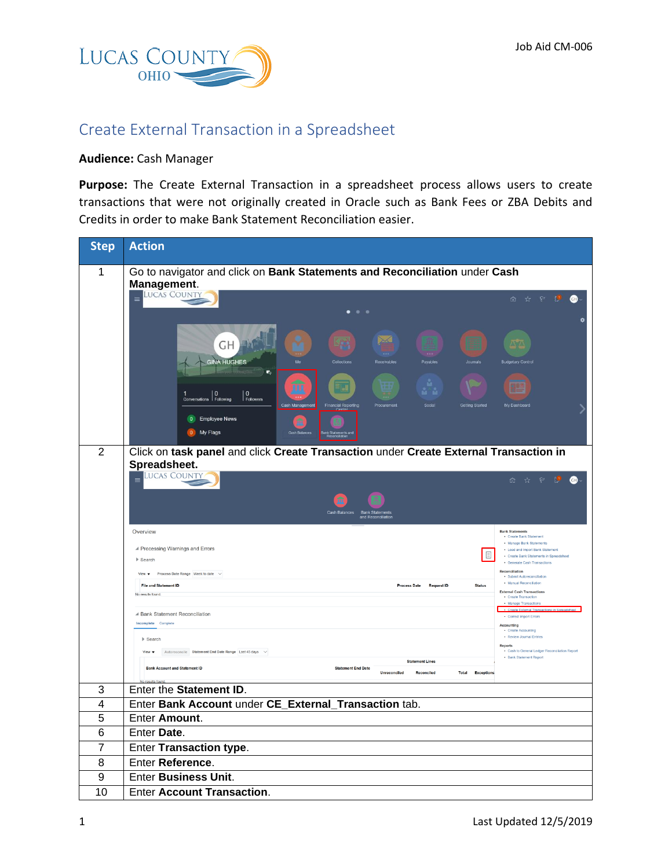

## Create External Transaction in a Spreadsheet

## **Audience:** Cash Manager

**Purpose:** The Create External Transaction in a spreadsheet process allows users to create transactions that were not originally created in Oracle such as Bank Fees or ZBA Debits and Credits in order to make Bank Statement Reconciliation easier.

| <b>Step</b>    | <b>Action</b>                                                                                                                                                                                                                                                                                               |  |  |
|----------------|-------------------------------------------------------------------------------------------------------------------------------------------------------------------------------------------------------------------------------------------------------------------------------------------------------------|--|--|
| 1              | Go to navigator and click on Bank Statements and Reconciliation under Cash<br>Management.                                                                                                                                                                                                                   |  |  |
|                | <b>LUCAS COUNTY</b><br>$\equiv$<br><b>命 ☆ ♀ U</b><br>⊕                                                                                                                                                                                                                                                      |  |  |
|                | $\mathbb{X}$<br>GH<br>m.<br><b>GINA HUGHES</b><br>Payables<br><b>Budgetary Contro</b><br>局<br>п<br>$\vert$ 0<br>Followers<br>1 0<br>Conversations <b>D</b><br>Cash Manage<br><b>Financial Reporting</b><br>Social<br><b>Getting Started</b><br>My Dashboard<br>Procurement<br>0 Employee News<br>0 My Flags |  |  |
| 2              | Click on task panel and click Create Transaction under Create External Transaction in<br>Spreadsheet.                                                                                                                                                                                                       |  |  |
|                | <b>LUCAS COUNTY</b><br>$\hat{\mathbf{n}}$ $\hat{\mathbf{x}}$ $\in$ $\mathbf{P}$<br><b>GB</b><br><b>Cash Balances</b>                                                                                                                                                                                        |  |  |
|                | Overview<br><b>Bank Statements</b><br>• Create Bank Statement                                                                                                                                                                                                                                               |  |  |
|                | . Manage Bank Statements<br>▲ Processing Warnings and Errors<br>. Load and Import Bank Statement<br>目<br>· Create Bank Statements in Spreadsheet<br>$\blacktriangleright$ Search<br>· Generate Cash Transactions<br>Reconciliation                                                                          |  |  |
|                | View $\blacktriangledown$ Process Date Range Week to date $\vee$<br>· Submit Autoreconciliation<br>• Manual Reconciliation<br><b>File and Statement ID</b><br>Process Date Request ID<br><b>Status</b>                                                                                                      |  |  |
|                | <b>External Cash Transactions</b><br>No results found.<br>• Create Transaction<br>• Manage Transactions<br>Create External Transactions in Spreadsheet                                                                                                                                                      |  |  |
|                | ▲ Bank Statement Reconciliation<br>• Correct Import Errors<br>Incomplete Complete<br>Accounting                                                                                                                                                                                                             |  |  |
|                | Create Accounting<br>· Review Journal Entries<br>$\blacktriangleright$ Search<br>Reports                                                                                                                                                                                                                    |  |  |
|                | - Cash to General Ledger Reconciliation Report<br>Autoreconcile Statement End Date Range Last 45 days $\check{\ }$<br>View $\mathbf{v}$<br>. Bank Statement Report<br><b>Statement Lines</b><br><b>Bank Account and Statement ID</b><br><b>Statement End Date</b>                                           |  |  |
|                | Unreconciled Reconciled<br><b>Total Exceptions</b><br>results found.                                                                                                                                                                                                                                        |  |  |
| 3              | Enter the Statement ID.                                                                                                                                                                                                                                                                                     |  |  |
| $\overline{4}$ | Enter Bank Account under CE External Transaction tab.                                                                                                                                                                                                                                                       |  |  |
| 5              | Enter Amount.                                                                                                                                                                                                                                                                                               |  |  |
| 6              | Enter Date.                                                                                                                                                                                                                                                                                                 |  |  |
| 7              | Enter Transaction type.                                                                                                                                                                                                                                                                                     |  |  |
| 8<br>9         | Enter Reference.<br><b>Enter Business Unit.</b>                                                                                                                                                                                                                                                             |  |  |
| 10             | <b>Enter Account Transaction.</b>                                                                                                                                                                                                                                                                           |  |  |
|                |                                                                                                                                                                                                                                                                                                             |  |  |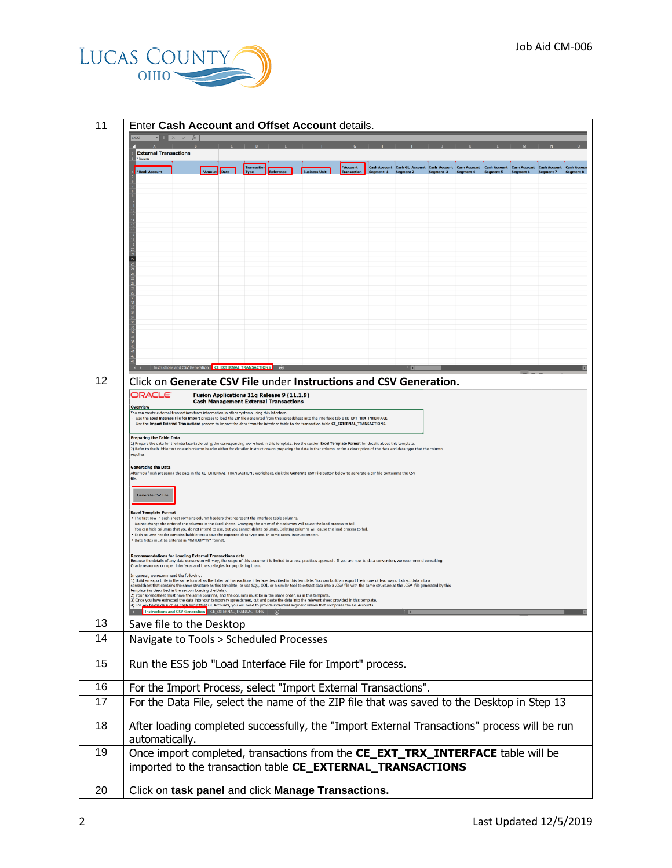

| 11 | Enter Cash Account and Offset Account details.                                                                                                                                                                                                                                                                                                                                                                                                                                                                                                                     |  |  |  |
|----|--------------------------------------------------------------------------------------------------------------------------------------------------------------------------------------------------------------------------------------------------------------------------------------------------------------------------------------------------------------------------------------------------------------------------------------------------------------------------------------------------------------------------------------------------------------------|--|--|--|
|    | <b>External Transactions</b><br>Required                                                                                                                                                                                                                                                                                                                                                                                                                                                                                                                           |  |  |  |
|    | *Account<br><b>Transactio</b><br>Cash Account Cash GL Account Cash Account Cash Account Cash Account Cash Account Cash Account Cash Account<br>*Bank Account<br>Reference<br><b>Business Unit</b><br><b>Type</b>                                                                                                                                                                                                                                                                                                                                                   |  |  |  |
|    |                                                                                                                                                                                                                                                                                                                                                                                                                                                                                                                                                                    |  |  |  |
|    |                                                                                                                                                                                                                                                                                                                                                                                                                                                                                                                                                                    |  |  |  |
|    |                                                                                                                                                                                                                                                                                                                                                                                                                                                                                                                                                                    |  |  |  |
|    |                                                                                                                                                                                                                                                                                                                                                                                                                                                                                                                                                                    |  |  |  |
|    |                                                                                                                                                                                                                                                                                                                                                                                                                                                                                                                                                                    |  |  |  |
|    |                                                                                                                                                                                                                                                                                                                                                                                                                                                                                                                                                                    |  |  |  |
|    |                                                                                                                                                                                                                                                                                                                                                                                                                                                                                                                                                                    |  |  |  |
|    |                                                                                                                                                                                                                                                                                                                                                                                                                                                                                                                                                                    |  |  |  |
|    |                                                                                                                                                                                                                                                                                                                                                                                                                                                                                                                                                                    |  |  |  |
|    |                                                                                                                                                                                                                                                                                                                                                                                                                                                                                                                                                                    |  |  |  |
|    |                                                                                                                                                                                                                                                                                                                                                                                                                                                                                                                                                                    |  |  |  |
|    | ns and CSV Generation CE EXTERNAL TRANSACTIONS                                                                                                                                                                                                                                                                                                                                                                                                                                                                                                                     |  |  |  |
| 12 | Click on Generate CSV File under Instructions and CSV Generation.                                                                                                                                                                                                                                                                                                                                                                                                                                                                                                  |  |  |  |
|    | ORACLE <sup>.</sup><br>Fusion Applications 11g Release 9 (11.1.9)<br><b>Cash Management External Transactions</b>                                                                                                                                                                                                                                                                                                                                                                                                                                                  |  |  |  |
|    | Overview<br>ou can create external transactions from information in other systems using this Interface.<br>Use the Load Interace File for Import process to load the ZIP file generated from this spreadsheet into the interface table CE_EXT_TRX_INTERFACE.                                                                                                                                                                                                                                                                                                       |  |  |  |
|    | Use the Import External Transactions process to import the data from the interface table to the transaction table CE_EXTERNAL_TRANSACTIONS.                                                                                                                                                                                                                                                                                                                                                                                                                        |  |  |  |
|    | <b>Preparing the Table Data</b><br>1) Prepare the data for the interface table using the corresponding worksheet in this template. See the section Excel Template Format for details about this template<br>2) Refer to the bubble text on each column header either for detailed instructions on preparing the data in that column, or for a description of the data and data type that the column                                                                                                                                                                |  |  |  |
|    | requires.                                                                                                                                                                                                                                                                                                                                                                                                                                                                                                                                                          |  |  |  |
|    | <b>Generating the Data</b><br>After you finish preparing the data in the CE_EXTERNAL_TRANSACTIONS worksheet, click the Generate CSV File button below to generate a ZIP file containing the CSV                                                                                                                                                                                                                                                                                                                                                                    |  |  |  |
|    | <b>Generate CSV File</b>                                                                                                                                                                                                                                                                                                                                                                                                                                                                                                                                           |  |  |  |
|    | <b>Excel Template Format</b>                                                                                                                                                                                                                                                                                                                                                                                                                                                                                                                                       |  |  |  |
|    | . The first row in each sheet contains column headers that represent the interface table columns.<br>Do not change the order of the columns in the Excel sheets. Changing the order of the columns will cause the load process to fail.<br>You can hide columns that you do not intend to use, but you cannot delete columns. Deleting columns will cause the load process to fail.                                                                                                                                                                                |  |  |  |
|    | Each column header contains bubble text about the expected data type and, in some cases, instruction text<br>· Date fields must be entered in MM/DD/YYYY format.                                                                                                                                                                                                                                                                                                                                                                                                   |  |  |  |
|    | Recommendations for Loading External Transactions data<br>Because the details of any data conversion will vary, the scope of this document is limited to a best practices approach. If you are new to data conversion, we recommend consulting                                                                                                                                                                                                                                                                                                                     |  |  |  |
|    | Oracle resources on open interfaces and the strategies for populating them.<br>In general, we recommend the following:                                                                                                                                                                                                                                                                                                                                                                                                                                             |  |  |  |
|    | 1) Build an export file in the same format as the External Transactions interface described in this template. You can build an export file in one of two ways: Extract data into a<br>spreadsheet that contains the same structure as this template; or use SQL, ODI, or a similar tool to extract data into a .CSV file with the same structure as the .CSV file generated by this<br>template (as described in the section Loading the Data).<br>2) Your spreadsheet must have the same columns, and the columns must be in the same order, as in this template. |  |  |  |
|    | 3) Once you have extracted the data into your temporary spreadsheet, cut and paste the data into the relevant sheet provided in this template.<br>4) For key flexfields such as Cash and Offset GL Accounts, you will need to provide individual segment values that comprises the GL Accounts.<br>→ Instructions and CSV Generation CE_EXTERNAL_TRANSACTIONS ●                                                                                                                                                                                                    |  |  |  |
| 13 | Save file to the Desktop                                                                                                                                                                                                                                                                                                                                                                                                                                                                                                                                           |  |  |  |
| 14 | Navigate to Tools > Scheduled Processes                                                                                                                                                                                                                                                                                                                                                                                                                                                                                                                            |  |  |  |
|    |                                                                                                                                                                                                                                                                                                                                                                                                                                                                                                                                                                    |  |  |  |
| 15 | Run the ESS job "Load Interface File for Import" process.                                                                                                                                                                                                                                                                                                                                                                                                                                                                                                          |  |  |  |
| 16 | For the Import Process, select "Import External Transactions".                                                                                                                                                                                                                                                                                                                                                                                                                                                                                                     |  |  |  |
| 17 | For the Data File, select the name of the ZIP file that was saved to the Desktop in Step 13                                                                                                                                                                                                                                                                                                                                                                                                                                                                        |  |  |  |
|    |                                                                                                                                                                                                                                                                                                                                                                                                                                                                                                                                                                    |  |  |  |
| 18 | After loading completed successfully, the "Import External Transactions" process will be run<br>automatically.                                                                                                                                                                                                                                                                                                                                                                                                                                                     |  |  |  |
| 19 | Once import completed, transactions from the CE_EXT_TRX_INTERFACE table will be                                                                                                                                                                                                                                                                                                                                                                                                                                                                                    |  |  |  |
|    | imported to the transaction table CE_EXTERNAL_TRANSACTIONS                                                                                                                                                                                                                                                                                                                                                                                                                                                                                                         |  |  |  |
|    |                                                                                                                                                                                                                                                                                                                                                                                                                                                                                                                                                                    |  |  |  |
| 20 | Click on task panel and click Manage Transactions.                                                                                                                                                                                                                                                                                                                                                                                                                                                                                                                 |  |  |  |